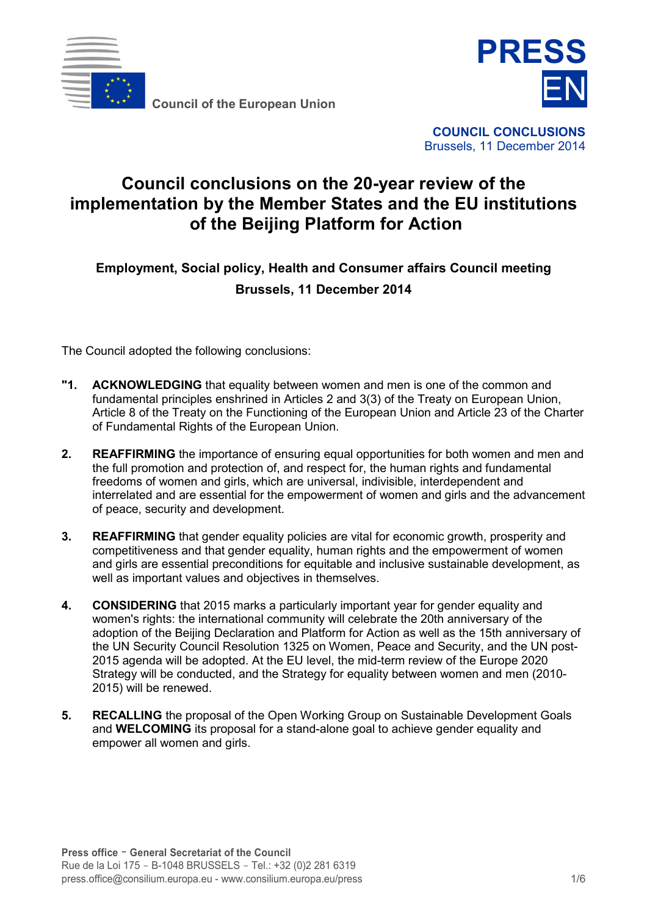

**Council of the European Union**



**COUNCIL CONCLUSIONS**  Brussels, 11 December 2014

# **Council conclusions on the 20-year review of the implementation by the Member States and the EU institutions of the Beijing Platform for Action**

**Employment, Social policy, Health and Consumer affairs Council meeting Brussels, 11 December 2014** 

The Council adopted the following conclusions:

- **"1. ACKNOWLEDGING** that equality between women and men is one of the common and fundamental principles enshrined in Articles 2 and 3(3) of the Treaty on European Union, Article 8 of the Treaty on the Functioning of the European Union and Article 23 of the Charter of Fundamental Rights of the European Union.
- **2. REAFFIRMING** the importance of ensuring equal opportunities for both women and men and the full promotion and protection of, and respect for, the human rights and fundamental freedoms of women and girls, which are universal, indivisible, interdependent and interrelated and are essential for the empowerment of women and girls and the advancement of peace, security and development.
- **3. REAFFIRMING** that gender equality policies are vital for economic growth, prosperity and competitiveness and that gender equality, human rights and the empowerment of women and girls are essential preconditions for equitable and inclusive sustainable development, as well as important values and objectives in themselves.
- **4. CONSIDERING** that 2015 marks a particularly important year for gender equality and women's rights: the international community will celebrate the 20th anniversary of the adoption of the Beijing Declaration and Platform for Action as well as the 15th anniversary of the UN Security Council Resolution 1325 on Women, Peace and Security, and the UN post-2015 agenda will be adopted. At the EU level, the mid-term review of the Europe 2020 Strategy will be conducted, and the Strategy for equality between women and men (2010- 2015) will be renewed.
- **5. RECALLING** the proposal of the Open Working Group on Sustainable Development Goals and **WELCOMING** its proposal for a stand-alone goal to achieve gender equality and empower all women and girls.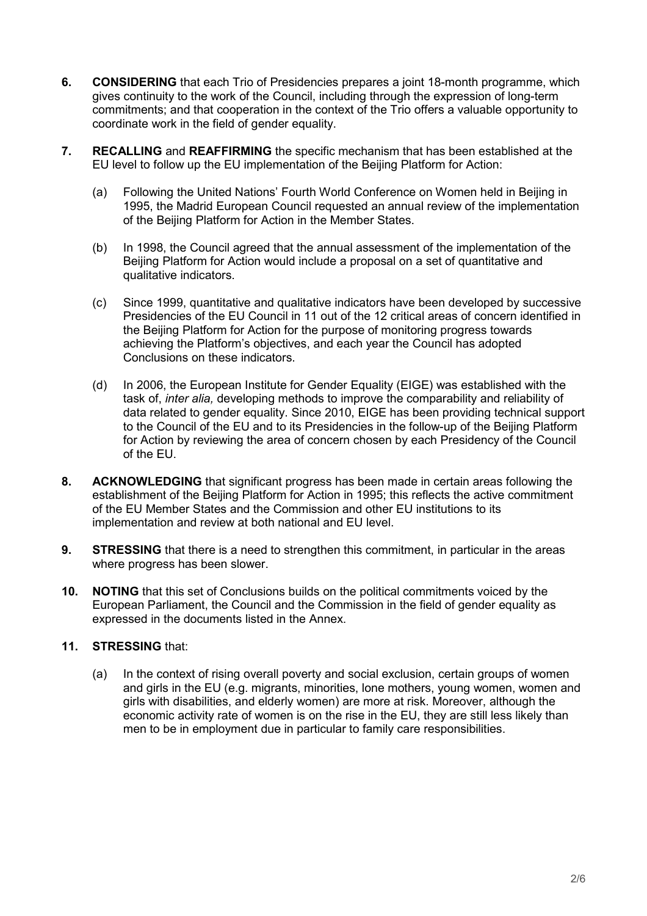- **6. CONSIDERING** that each Trio of Presidencies prepares a joint 18-month programme, which gives continuity to the work of the Council, including through the expression of long-term commitments; and that cooperation in the context of the Trio offers a valuable opportunity to coordinate work in the field of gender equality.
- **7. RECALLING** and **REAFFIRMING** the specific mechanism that has been established at the EU level to follow up the EU implementation of the Beijing Platform for Action:
	- (a) Following the United Nations' Fourth World Conference on Women held in Beijing in 1995, the Madrid European Council requested an annual review of the implementation of the Beijing Platform for Action in the Member States.
	- (b) In 1998, the Council agreed that the annual assessment of the implementation of the Beijing Platform for Action would include a proposal on a set of quantitative and qualitative indicators.
	- (c) Since 1999, quantitative and qualitative indicators have been developed by successive Presidencies of the EU Council in 11 out of the 12 critical areas of concern identified in the Beijing Platform for Action for the purpose of monitoring progress towards achieving the Platform's objectives, and each year the Council has adopted Conclusions on these indicators.
	- (d) In 2006, the European Institute for Gender Equality (EIGE) was established with the task of, *inter alia,* developing methods to improve the comparability and reliability of data related to gender equality. Since 2010, EIGE has been providing technical support to the Council of the EU and to its Presidencies in the follow-up of the Beijing Platform for Action by reviewing the area of concern chosen by each Presidency of the Council of the EU.
- **8. ACKNOWLEDGING** that significant progress has been made in certain areas following the establishment of the Beijing Platform for Action in 1995; this reflects the active commitment of the EU Member States and the Commission and other EU institutions to its implementation and review at both national and EU level.
- **9.** STRESSING that there is a need to strengthen this commitment, in particular in the areas where progress has been slower.
- **10. NOTING** that this set of Conclusions builds on the political commitments voiced by the European Parliament, the Council and the Commission in the field of gender equality as expressed in the documents listed in the Annex.

# **11. STRESSING** that:

(a) In the context of rising overall poverty and social exclusion, certain groups of women and girls in the EU (e.g. migrants, minorities, lone mothers, young women, women and girls with disabilities, and elderly women) are more at risk. Moreover, although the economic activity rate of women is on the rise in the EU, they are still less likely than men to be in employment due in particular to family care responsibilities.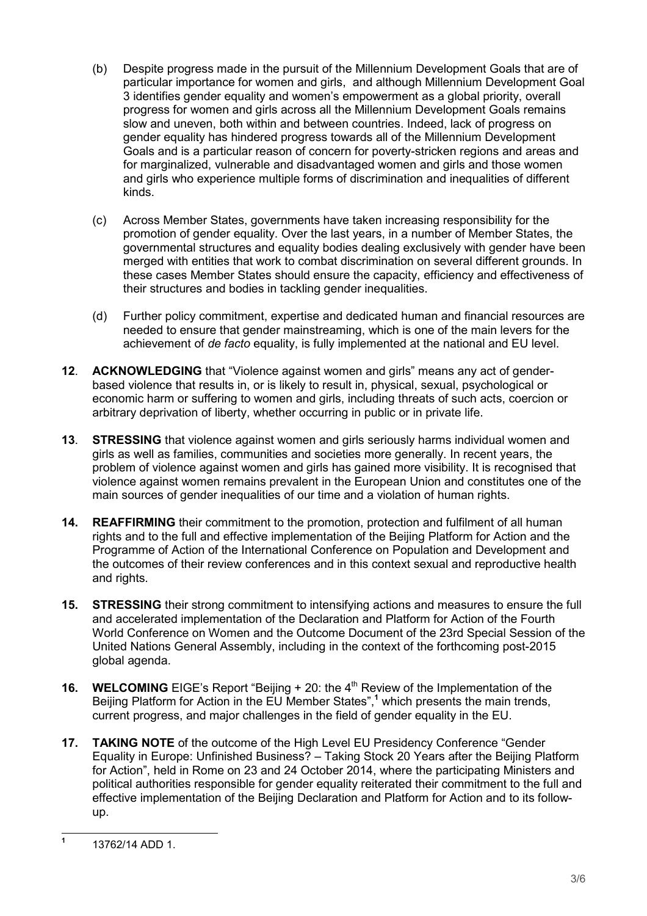- (b) Despite progress made in the pursuit of the Millennium Development Goals that are of particular importance for women and girls, and although Millennium Development Goal 3 identifies gender equality and women's empowerment as a global priority, overall progress for women and girls across all the Millennium Development Goals remains slow and uneven, both within and between countries. Indeed, lack of progress on gender equality has hindered progress towards all of the Millennium Development Goals and is a particular reason of concern for poverty-stricken regions and areas and for marginalized, vulnerable and disadvantaged women and girls and those women and girls who experience multiple forms of discrimination and inequalities of different kinds.
- (c) Across Member States, governments have taken increasing responsibility for the promotion of gender equality. Over the last years, in a number of Member States, the governmental structures and equality bodies dealing exclusively with gender have been merged with entities that work to combat discrimination on several different grounds. In these cases Member States should ensure the capacity, efficiency and effectiveness of their structures and bodies in tackling gender inequalities.
- (d) Further policy commitment, expertise and dedicated human and financial resources are needed to ensure that gender mainstreaming, which is one of the main levers for the achievement of *de facto* equality, is fully implemented at the national and EU level.
- **12**. **ACKNOWLEDGING** that "Violence against women and girls" means any act of genderbased violence that results in, or is likely to result in, physical, sexual, psychological or economic harm or suffering to women and girls, including threats of such acts, coercion or arbitrary deprivation of liberty, whether occurring in public or in private life.
- **13**. **STRESSING** that violence against women and girls seriously harms individual women and girls as well as families, communities and societies more generally. In recent years, the problem of violence against women and girls has gained more visibility. It is recognised that violence against women remains prevalent in the European Union and constitutes one of the main sources of gender inequalities of our time and a violation of human rights.
- **14. REAFFIRMING** their commitment to the promotion, protection and fulfilment of all human rights and to the full and effective implementation of the Beijing Platform for Action and the Programme of Action of the International Conference on Population and Development and the outcomes of their review conferences and in this context sexual and reproductive health and rights.
- **15. STRESSING** their strong commitment to intensifying actions and measures to ensure the full and accelerated implementation of the Declaration and Platform for Action of the Fourth World Conference on Women and the Outcome Document of the 23rd Special Session of the United Nations General Assembly, including in the context of the forthcoming post-2015 global agenda.
- **16. WELCOMING** EIGE's Report "Beijing + 20: the 4<sup>th</sup> Review of the Implementation of the Beijing Platform for Action in the EU Member States", **1** which presents the main trends, current progress, and major challenges in the field of gender equality in the EU.
- **17. TAKING NOTE** of the outcome of the High Level EU Presidency Conference "Gender Equality in Europe: Unfinished Business? – Taking Stock 20 Years after the Beijing Platform for Action", held in Rome on 23 and 24 October 2014, where the participating Ministers and political authorities responsible for gender equality reiterated their commitment to the full and effective implementation of the Beijing Declaration and Platform for Action and to its followup.

 **1** 13762/14 ADD 1.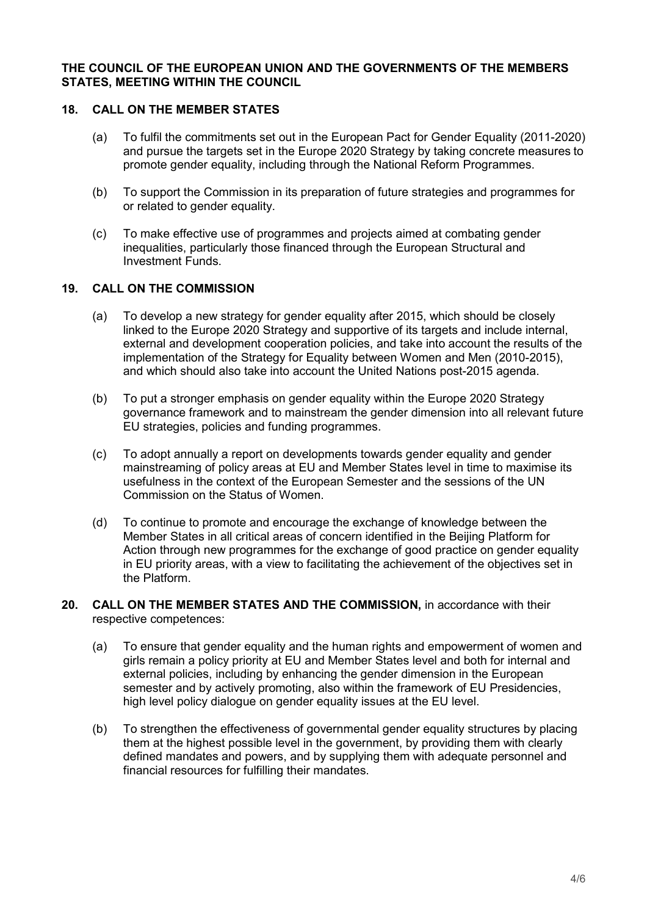#### **THE COUNCIL OF THE EUROPEAN UNION AND THE GOVERNMENTS OF THE MEMBERS STATES, MEETING WITHIN THE COUNCIL**

## **18. CALL ON THE MEMBER STATES**

- (a) To fulfil the commitments set out in the European Pact for Gender Equality (2011-2020) and pursue the targets set in the Europe 2020 Strategy by taking concrete measures to promote gender equality, including through the National Reform Programmes.
- (b) To support the Commission in its preparation of future strategies and programmes for or related to gender equality.
- (c) To make effective use of programmes and projects aimed at combating gender inequalities, particularly those financed through the European Structural and Investment Funds.

## **19. CALL ON THE COMMISSION**

- (a) To develop a new strategy for gender equality after 2015, which should be closely linked to the Europe 2020 Strategy and supportive of its targets and include internal, external and development cooperation policies, and take into account the results of the implementation of the Strategy for Equality between Women and Men (2010-2015), and which should also take into account the United Nations post-2015 agenda.
- (b) To put a stronger emphasis on gender equality within the Europe 2020 Strategy governance framework and to mainstream the gender dimension into all relevant future EU strategies, policies and funding programmes.
- (c) To adopt annually a report on developments towards gender equality and gender mainstreaming of policy areas at EU and Member States level in time to maximise its usefulness in the context of the European Semester and the sessions of the UN Commission on the Status of Women.
- (d) To continue to promote and encourage the exchange of knowledge between the Member States in all critical areas of concern identified in the Beijing Platform for Action through new programmes for the exchange of good practice on gender equality in EU priority areas, with a view to facilitating the achievement of the objectives set in the Platform.
- 20. CALL ON THE MEMBER STATES AND THE COMMISSION, in accordance with their respective competences:
	- (a) To ensure that gender equality and the human rights and empowerment of women and girls remain a policy priority at EU and Member States level and both for internal and external policies, including by enhancing the gender dimension in the European semester and by actively promoting, also within the framework of EU Presidencies, high level policy dialogue on gender equality issues at the EU level.
	- (b) To strengthen the effectiveness of governmental gender equality structures by placing them at the highest possible level in the government, by providing them with clearly defined mandates and powers, and by supplying them with adequate personnel and financial resources for fulfilling their mandates.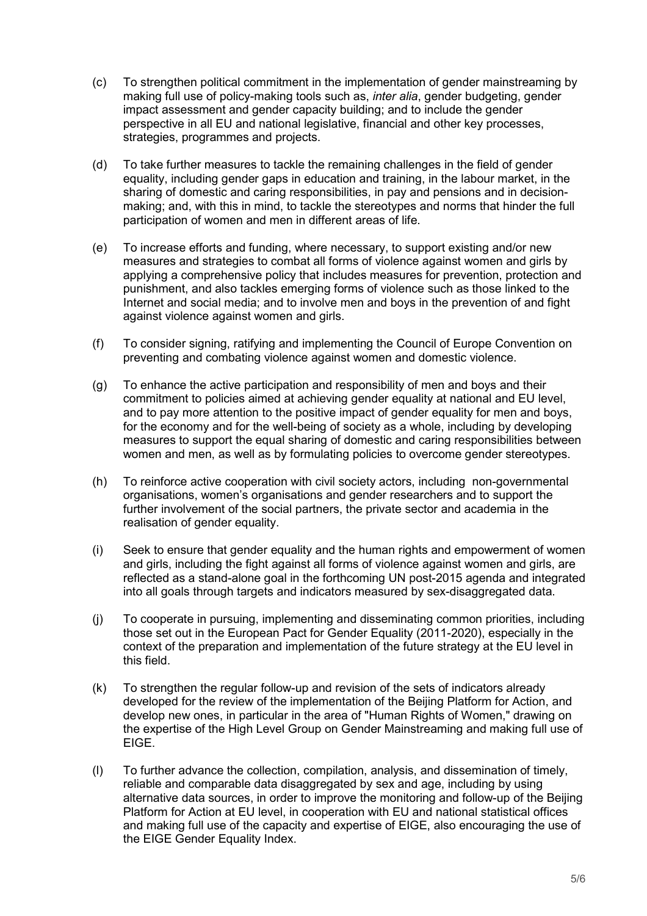- (c) To strengthen political commitment in the implementation of gender mainstreaming by making full use of policy-making tools such as, *inter alia*, gender budgeting, gender impact assessment and gender capacity building; and to include the gender perspective in all EU and national legislative, financial and other key processes, strategies, programmes and projects.
- (d) To take further measures to tackle the remaining challenges in the field of gender equality, including gender gaps in education and training, in the labour market, in the sharing of domestic and caring responsibilities, in pay and pensions and in decisionmaking; and, with this in mind, to tackle the stereotypes and norms that hinder the full participation of women and men in different areas of life.
- (e) To increase efforts and funding, where necessary, to support existing and/or new measures and strategies to combat all forms of violence against women and girls by applying a comprehensive policy that includes measures for prevention, protection and punishment, and also tackles emerging forms of violence such as those linked to the Internet and social media; and to involve men and boys in the prevention of and fight against violence against women and girls.
- (f) To consider signing, ratifying and implementing the Council of Europe Convention on preventing and combating violence against women and domestic violence.
- (g) To enhance the active participation and responsibility of men and boys and their commitment to policies aimed at achieving gender equality at national and EU level, and to pay more attention to the positive impact of gender equality for men and boys, for the economy and for the well-being of society as a whole, including by developing measures to support the equal sharing of domestic and caring responsibilities between women and men, as well as by formulating policies to overcome gender stereotypes.
- (h) To reinforce active cooperation with civil society actors, including non-governmental organisations, women's organisations and gender researchers and to support the further involvement of the social partners, the private sector and academia in the realisation of gender equality.
- (i) Seek to ensure that gender equality and the human rights and empowerment of women and girls, including the fight against all forms of violence against women and girls, are reflected as a stand-alone goal in the forthcoming UN post-2015 agenda and integrated into all goals through targets and indicators measured by sex-disaggregated data.
- (j) To cooperate in pursuing, implementing and disseminating common priorities, including those set out in the European Pact for Gender Equality (2011-2020), especially in the context of the preparation and implementation of the future strategy at the EU level in this field.
- (k) To strengthen the regular follow-up and revision of the sets of indicators already developed for the review of the implementation of the Beijing Platform for Action, and develop new ones, in particular in the area of "Human Rights of Women," drawing on the expertise of the High Level Group on Gender Mainstreaming and making full use of EIGE.
- (l) To further advance the collection, compilation, analysis, and dissemination of timely, reliable and comparable data disaggregated by sex and age, including by using alternative data sources, in order to improve the monitoring and follow-up of the Beijing Platform for Action at EU level, in cooperation with EU and national statistical offices and making full use of the capacity and expertise of EIGE, also encouraging the use of the EIGE Gender Equality Index.